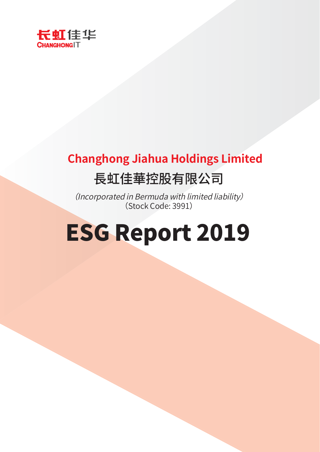

## **Changhong Jiahua Holdings Limited** 長虹佳華控股有限公司

(Incorporated in Bermuda with limited liability) (Stock Code: 3991)

# **ESG Report 2019**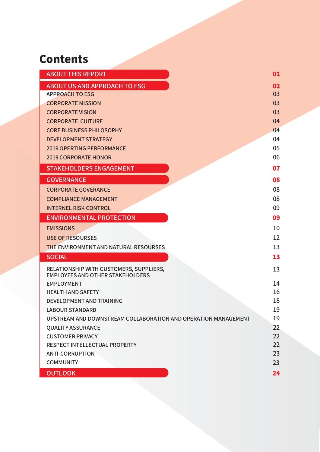## **Contents**

| <b>ABOUT THIS REPORT</b>                                       | 01       |
|----------------------------------------------------------------|----------|
| <b>ABOUT US AND APPROACH TO ESG</b>                            | 02       |
| <b>APPROACH TO ESG</b>                                         | 03       |
| <b>CORPORATE MISSION</b>                                       | 03       |
| <b>CORPORATE VISION</b>                                        | 03       |
| <b>CORPORATE CUITURE</b>                                       | 04       |
| <b>CORE BUSINESS PHILOSOPHY</b>                                | 04       |
| <b>DEVELOPMENT STRATEGY</b>                                    | 04       |
| <b>2019 OPERTING PERFORMANCE</b>                               | 05       |
| <b>2019 CORPORATE HONOR</b>                                    | 06       |
| <b>STAKEHOLDERS ENGAGEMENT</b>                                 | 07       |
| <b>GOVERNANCE</b>                                              | 08       |
| <b>CORPORATE GOVERANCE</b>                                     | 08       |
| <b>COMPLIANCE MANAGEMENT</b>                                   | 08       |
| <b>INTERNEL RISK CONTROL</b>                                   | 09       |
| <b>ENVIRONMENTAL PROTECTION</b>                                | 09       |
| <b>EMISSIONS</b>                                               | 10       |
| <b>USE OF RESOURSES</b>                                        | 12       |
| <b>THE ENVIRONMENT AND NATURAL RESOURSES</b>                   | 13       |
| <b>SOCIAL</b>                                                  | 13       |
| RELATIONSHIP WITH CUSTOMERS, SUPPLIERS,                        | 13       |
| <b>EMPLOYEES AND OTHER STAKEHOLDERS</b>                        |          |
| <b>EMPLOYMENT</b>                                              | 14       |
| <b>HEALTH AND SAFETY</b>                                       | 16       |
| <b>DEVELOPMENT AND TRAINING</b><br><b>LABOUR STANDARD</b>      | 18<br>19 |
| UPSTREAM AND DOWNSTREAM COLLABORATION AND OPERATION MANAGEMENT | 19       |
| <b>OUALITY ASSURANCE</b>                                       | 22       |
| <b>CUSTOMER PRIVACY</b>                                        | 22       |
| <b>RESPECT INTELLECTUAL PROPERTY</b>                           | 22       |
| <b>ANTI-CORRUPTION</b>                                         | 23       |
| <b>COMMUNITY</b>                                               | 23       |
| <b>OUTLOOK</b>                                                 | 24       |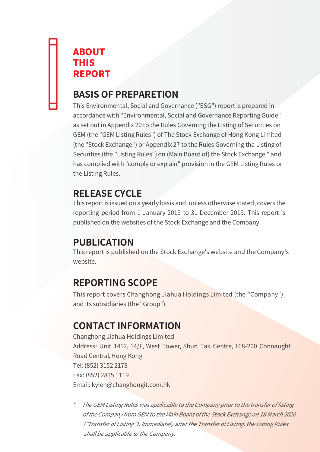## **ABOUT THIS REPORT**

## **BASIS OF PREPARETION**

This Environmental, Social and Governance ("ESG") report is prepared in accordance with "Environmental, Social and Governance Reporting Guide" as set out in Appendix 20 to the Rules Governing the Listing of Securities on GEM (the "GEM Listing Rules") of The Stock Exchange of Hong Kong Limited (the "Stock Exchange") or Appendix 27 to the Rules Governing the Listing of Securities (the "Listing Rules") on (Main Board of) the Stock Exchange \* and has complied with "comply or explain" provision in the GEM Listing Rules or the Listing Rules.

## **RELEASE CYCLE**

This report is issued on a yearly basis and, unless otherwise stated, covers the reporting period from 1 January 2019 to 31 December 2019. This report is published on the websites of the Stock Exchange and the Company.

## **PUBLICATION**

This report is published on the Stock Exchange's website and the Company's website

## **REPORTING SCOPE**

This report covers Changhong Jiahua Holdings Limited (the "Company") and its subsidiaries (the "Group").

## **CONTACT INFORMATION**

Changhong Jiahua Holdings Limited Address: Unit 1412, 14/F, West Tower, Shun Tak Centre, 168-200 Connaught Road Central, Hong Kong Tel: (852) 3152 2178 Fax: (852) 2815 1119 Email: kylen@changhongit.com.hk

The GEM Listing Rules was applicable to the Company prior to the transfer of listing of the Company from GEM to the Main Board of the Stock Exchange on 18 March 2020 ("Transfer of Listing"). Immediately after the Transfer of Listing, the Listing Rules shall be applicable to the Company.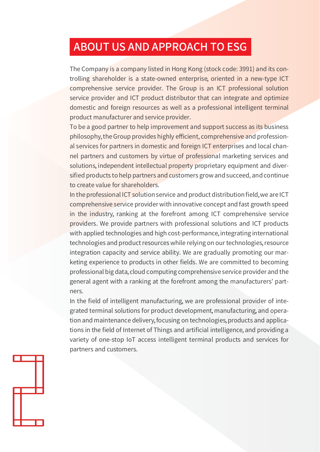## **ABOUT US AND APPROACH TO ESG**

The Company is a company listed in Hong Kong (stock code: 3991) and its controlling shareholder is a state-owned enterprise, oriented in a new-type ICT comprehensive service provider. The Group is an ICT professional solution service provider and ICT product distributor that can integrate and optimize domestic and foreign resources as well as a professional intelligent terminal product manufacturer and service provider.

To be a good partner to help improvement and support success as its business philosophy, the Group provides highly efficient, comprehensive and professional services for partners in domestic and foreign ICT enterprises and local channel partners and customers by virtue of professional marketing services and solutions, independent intellectual property proprietary equipment and diversified products to help partners and customers grow and succeed, and continue to create value for shareholders.

In the professional ICT solution service and product distribution field, we are ICT comprehensive service provider with innovative concept and fast growth speed in the industry, ranking at the forefront among ICT comprehensive service providers. We provide partners with professional solutions and ICT products with applied technologies and high cost-performance, integrating international technologies and product resources while relying on our technologies, resource integration capacity and service ability. We are gradually promoting our marketing experience to products in other fields. We are committed to becoming professional big data, cloud computing comprehensive service provider and the general agent with a ranking at the forefront among the manufacturers' partners.

In the field of intelligent manufacturing, we are professional provider of integrated terminal solutions for product development, manufacturing, and operation and maintenance delivery, focusing on technologies, products and applications in the field of Internet of Things and artificial intelligence, and providing a variety of one-stop IoT access intelligent terminal products and services for partners and customers.

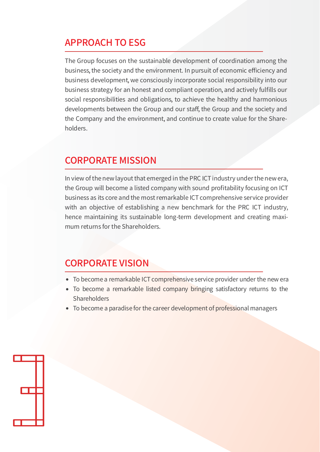## **APPROACH TO ESG**

The Group focuses on the sustainable development of coordination among the business, the society and the environment. In pursuit of economic efficiency and business development, we consciously incorporate social responsibility into our business strategy for an honest and compliant operation, and actively fulfills our social responsibilities and obligations, to achieve the healthy and harmonious developments between the Group and our staff, the Group and the society and the Company and the environment, and continue to create value for the Shareholders.

#### **CORPORATE MISSION**

In view of the new layout that emerged in the PRC ICT industry under the new era, the Group will become a listed company with sound profitability focusing on ICT business as its core and the most remarkable ICT comprehensive service provider with an objective of establishing a new benchmark for the PRC ICT industry, hence maintaining its sustainable long-term development and creating maximum returns for the Shareholders.

#### **CORPORATE VISION**

- To become a remarkable ICT comprehensive service provider under the new era
- To become a remarkable listed company bringing satisfactory returns to the Shareholders
- To become a paradise for the career development of professional managers

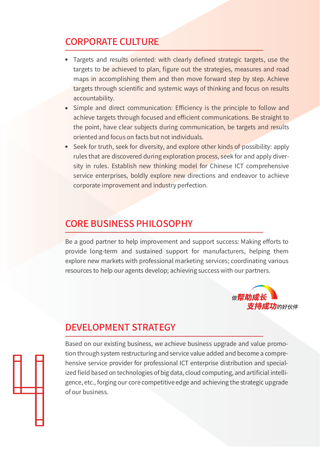## **CORPORATE CULTURE**

- Targets and results oriented: with clearly defined strategic targets, use the targets to be achieved to plan, figure out the strategies, measures and road maps in accomplishing them and then move forward step by step. Achieve targets through scientific and systemic ways of thinking and focus on results accountability.
- Simple and direct communication: Efficiency is the principle to follow and achieve targets through focused and efficient communications. Be straight to the point, have clear subjects during communication, be targets and results oriented and focus on facts but not individuals.
- Seek for truth, seek for diversity, and explore other kinds of possibility: apply rules that are discovered during exploration process, seek for and apply diversity in rules. Establish new thinking model for Chinese ICT comprehensive service enterprises, boldly explore new directions and endeavor to achieve corporate improvement and industry perfection.

#### **CORE BUSINESS PHILOSOPHY**

Be a good partner to help improvement and support success: Making efforts to provide long-term and sustained support for manufacturers, helping them explore new markets with professional marketing services; coordinating various resources to help our agents develop; achieving success with our partners.



## **DEVELOPMENT STRATEGY**

Based on our existing business, we achieve business upgrade and value promotion through system restructuring and service value added and become a comprehensive service provider for professional ICT enterprise distribution and specialized field based on technologies of big data, cloud computing, and artificial intelligence, etc., forging our core competitive edge and achieving the strategic upgrade of our business.

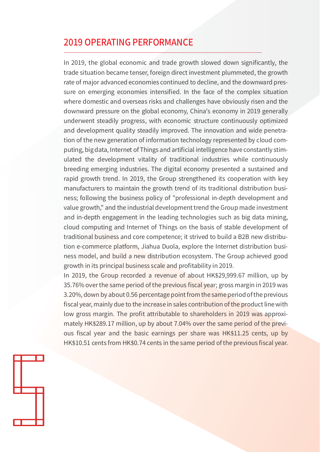#### **2019 OPERATING PERFORMANCE**

In 2019, the global economic and trade growth slowed down significantly, the trade situation became tenser, foreign direct investment plummeted, the growth rate of major advanced economies continued to decline, and the downward pressure on emerging economies intensified. In the face of the complex situation where domestic and overseas risks and challenges have obviously risen and the downward pressure on the global economy, China's economy in 2019 generally underwent steadily progress, with economic structure continuously optimized and development quality steadily improved. The innovation and wide penetration of the new generation of information technology represented by cloud computing, big data, Internet of Things and artificial intelligence have constantly stimulated the development vitality of traditional industries while continuously breeding emerging industries. The digital economy presented a sustained and rapid growth trend. In 2019, the Group strengthened its cooperation with key manufacturers to maintain the growth trend of its traditional distribution business; following the business policy of "professional in-depth development and value growth," and the industrial development trend the Group made investment and in-depth engagement in the leading technologies such as big data mining, cloud computing and Internet of Things on the basis of stable development of traditional business and core competence; it strived to build a B2B new distribution e-commerce platform, Jiahua Duola, explore the Internet distribution business model, and build a new distribution ecosystem. The Group achieved good growth in its principal business scale and profitability in 2019.

In 2019, the Group recorded a revenue of about HK\$29,999.67 million, up by 35.76% over the same period of the previous fiscal year; gross margin in 2019 was 3.20%, down by about 0.56 percentage point from the same period of the previous fiscal year, mainly due to the increase in sales contribution of the product line with low gross margin. The profit attributable to shareholders in 2019 was approximately HK\$289.17 million, up by about 7.04% over the same period of the previous fiscal year and the basic earnings per share was HK\$11.25 cents, up by HK\$10.51 cents from HK\$0.74 cents in the same period of the previous fiscal year.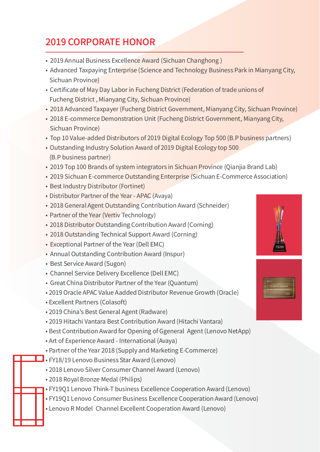## **2019 CORPORATE HONOR**

- 2019 Annual Business Excellence Award (Sichuan Changhong)
- Advanced Taxpaying Enterprise (Science and Technology Business Park in Mianyang City, Sichuan Province)
- Certificate of May Day Labor in Fucheng District (Federation of trade unions of Fucheng District, Mianyang City, Sichuan Province)
- 2018 Advanced Taxpayer (Fucheng District Government, Mianyang City, Sichuan Province)
- 2018 E-commerce Demonstration Unit (Fucheng District Government, Mianyang City, Sichuan Province)
- Top 10 Value-added Distributors of 2019 Digital Ecology Top 500 (B.P business partners)
- . Outstanding Industry Solution Award of 2019 Digital Ecology top 500 (B.P business partner)
- 2019 Top 100 Brands of system integrators in Sichuan Province (Qianjia Brand Lab)
- 2019 Sichuan E-commerce Outstanding Enterprise (Sichuan E-Commerce Association)
- Best Industry Distributor (Fortinet)
- Distributor Partner of the Year APAC (Avaya)
- 2018 General Agent Outstanding Contribution Award (Schneider)
- Partner of the Year (Vertiv Technology)
- 2018 Distributor Outstanding Contribution Award (Corning)
- 2018 Outstanding Technical Support Award (Corning)
- Exceptional Partner of the Year (Dell EMC)
- Annual Outstanding Contribution Award (Inspur)
- Best Service Award (Sugon)
- Channel Service Delivery Excellence (Dell EMC)
- Great China Distributor Partner of the Year (Quantum)
- 2019 Oracle APAC Value Aadded Distributor Revenue Growth (Oracle)
- Excellent Partners (Colasoft)
- 2019 China's Best General Agent (Radware)
- 2019 Hitachi Vantara Best Contribution Award (Hitachi Vantara)
- Best Contribution Award for Opening of Ggeneral Agent (Lenovo NetApp)
- Art of Experience Award International (Avaya)
- Partner of the Year 2018 (Supply and Marketing E-Commerce)
- FY18/19 Lenovo Business Star Award (Lenovo)
- 2018 Lenovo Silver Consumer Channel Award (Lenovo)
- 2018 Roval Bronze Medal (Philips)
- · FY19Q1 Lenovo Think-T business Excellence Cooperation Award (Lenovo)
- FY19Q1 Lenovo Consumer Business Excellence Cooperation Award (Lenovo)
- Lenovo R Model Channel Excellent Cooperation Award (Lenovo)



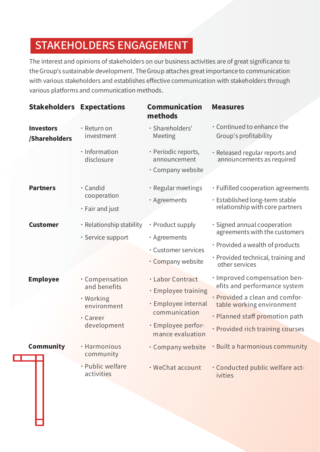## STAKEHOLDERS ENGAGEMENT

The interest and opinions of stakeholders on our business activities are of great significance to the Group's sustainable development. The Group attaches great importance to communication with various stakeholders and establishes effective communication with stakeholders through various platforms and communication methods.

| <b>Stakeholders</b>               | <b>Expectations</b>                                                                   | <b>Communication</b><br>methods                                                                                           | <b>Measures</b>                                                                                                                                                                                   |
|-----------------------------------|---------------------------------------------------------------------------------------|---------------------------------------------------------------------------------------------------------------------------|---------------------------------------------------------------------------------------------------------------------------------------------------------------------------------------------------|
| <b>Investors</b><br>/Shareholders | · Return on<br>investment                                                             | · Shareholders'<br>Meeting                                                                                                | . Continued to enhance the<br>Group's profitability                                                                                                                                               |
|                                   | · Information<br>disclosure                                                           | · Periodic reports,<br>announcement<br>· Company website                                                                  | · Released regular reports and<br>announcements as required                                                                                                                                       |
| <b>Partners</b>                   | · Candid<br>cooperation<br>· Fair and just                                            | · Regular meetings<br>· Agreements                                                                                        | · Fulfilled cooperation agreements<br>· Established long-term stable<br>relationship with core partners                                                                                           |
| <b>Customer</b>                   | · Relationship stability<br>· Service support                                         | • Product supply<br>· Agreements<br>· Customer services<br>• Company website                                              | · Signed annual cooperation<br>agreements with the customers<br>• Provided a wealth of products<br>· Provided technical, training and<br>other services                                           |
| <b>Employee</b>                   | · Compensation<br>and benefits<br>• Working<br>environment<br>· Career<br>development | · Labor Contract<br>· Employee training<br>· Employee internal<br>communication<br>· Employee perfor-<br>mance evaluation | · Improved compensation ben-<br>efits and performance system<br>· Provided a clean and comfor-<br>table working environment<br>· Planned staff promotion path<br>· Provided rich training courses |
| <b>Community</b>                  | · Harmonious<br>community                                                             |                                                                                                                           | $\cdot$ Company website $\cdot$ Built a harmonious community                                                                                                                                      |
|                                   | · Public welfare<br>activities                                                        | · WeChat account                                                                                                          | · Conducted public welfare act-<br>ivities                                                                                                                                                        |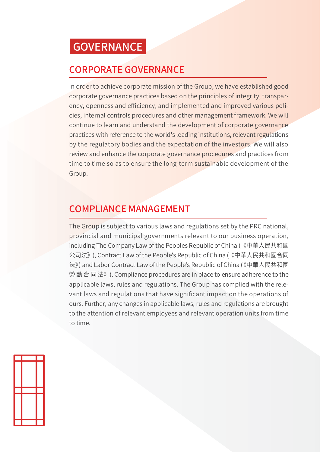## **GOVERNANCE**

## **CORPORATE GOVERNANCE**

In order to achieve corporate mission of the Group, we have established good corporate governance practices based on the principles of integrity, transparency, openness and efficiency, and implemented and improved various policies, internal controls procedures and other management framework. We will continue to learn and understand the development of corporate governance practices with reference to the world's leading institutions, relevant regulations by the regulatory bodies and the expectation of the investors. We will also review and enhance the corporate governance procedures and practices from time to time so as to ensure the long-term sustainable development of the Group.

## **COMPLIANCE MANAGEMENT**

The Group is subject to various laws and regulations set by the PRC national, provincial and municipal governments relevant to our business operation, including The Company Law of the Peoples Republic of China (《中華人民共和國 公司法》), Contract Law of the People's Republic of China (《中華人民共和國合同 法》) and Labor Contract Law of the People's Republic of China (《中華人民共和國 勞動合同法》). Compliance procedures are in place to ensure adherence to the applicable laws, rules and regulations. The Group has complied with the relevant laws and regulations that have significant impact on the operations of ours. Further, any changes in applicable laws, rules and regulations are brought to the attention of relevant employees and relevant operation units from time to time.

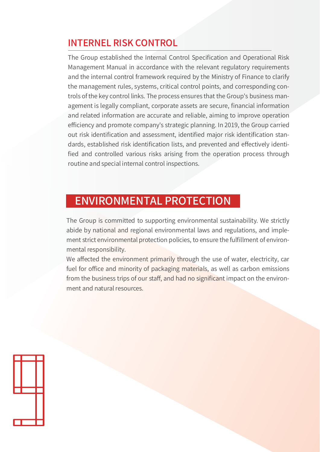## **INTERNEL RISK CONTROL**

The Group established the Internal Control Specification and Operational Risk Management Manual in accordance with the relevant regulatory requirements and the internal control framework required by the Ministry of Finance to clarify the management rules, systems, critical control points, and corresponding controls of the key control links. The process ensures that the Group's business management is legally compliant, corporate assets are secure, financial information and related information are accurate and reliable, aiming to improve operation efficiency and promote company's strategic planning. In 2019, the Group carried out risk identification and assessment, identified major risk identification standards, established risk identification lists, and prevented and effectively identified and controlled various risks arising from the operation process through routine and special internal control inspections.

## **ENVIRONMENTAL PROTECTION**

The Group is committed to supporting environmental sustainability. We strictly abide by national and regional environmental laws and regulations, and implement strict environmental protection policies, to ensure the fulfillment of environmental responsibility.

We affected the environment primarily through the use of water, electricity, car fuel for office and minority of packaging materials, as well as carbon emissions from the business trips of our staff, and had no significant impact on the environment and natural resources.

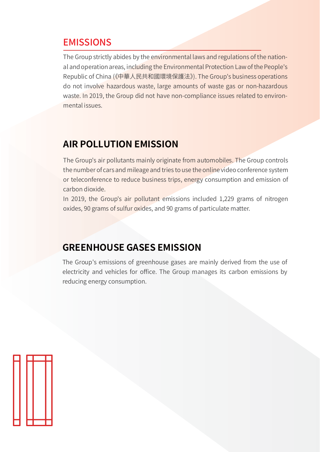#### **EMISSIONS**

The Group strictly abides by the environmental laws and regulations of the national and operation areas, including the Environmental Protection Law of the People's Republic of China (《中華人民共和國環境保護法》). The Group's business operations do not involve hazardous waste, large amounts of waste gas or non-hazardous waste. In 2019, the Group did not have non-compliance issues related to environmental issues.

## **AIR POLLUTION EMISSION**

The Group's air pollutants mainly originate from automobiles. The Group controls the number of cars and mileage and tries to use the online video conference system or teleconference to reduce business trips, energy consumption and emission of carbon dioxide.

In 2019, the Group's air pollutant emissions included 1,229 grams of nitrogen oxides, 90 grams of sulfur oxides, and 90 grams of particulate matter.

## **GREENHOUSE GASES EMISSION**

The Group's emissions of greenhouse gases are mainly derived from the use of electricity and vehicles for office. The Group manages its carbon emissions by reducing energy consumption.

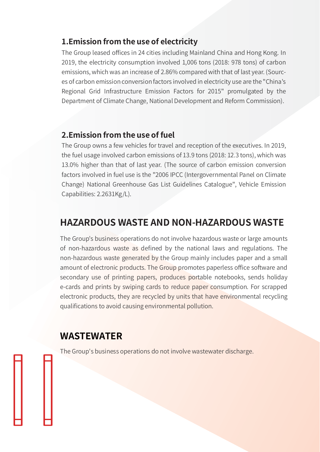#### 1. Emission from the use of electricity

The Group leased offices in 24 cities including Mainland China and Hong Kong. In 2019, the electricity consumption involved 1,006 tons (2018: 978 tons) of carbon emissions, which was an increase of 2.86% compared with that of last year. (Sources of carbon emission conversion factors involved in electricity use are the "China's Regional Grid Infrastructure Emission Factors for 2015" promulgated by the Department of Climate Change, National Development and Reform Commission).

#### 2. Emission from the use of fuel

The Group owns a few vehicles for travel and reception of the executives. In 2019, the fuel usage involved carbon emissions of 13.9 tons (2018: 12.3 tons), which was 13.0% higher than that of last year. (The source of carbon emission conversion factors involved in fuel use is the "2006 IPCC (Intergovernmental Panel on Climate Change) National Greenhouse Gas List Guidelines Catalogue". Vehicle Emission Capabilities: 2.2631Kg/L).

#### **HAZARDOUS WASTE AND NON-HAZARDOUS WASTE**

The Group's business operations do not involve hazardous waste or large amounts of non-hazardous waste as defined by the national laws and regulations. The non-hazardous waste generated by the Group mainly includes paper and a small amount of electronic products. The Group promotes paperless office software and secondary use of printing papers, produces portable notebooks, sends holiday e-cards and prints by swiping cards to reduce paper consumption. For scrapped electronic products, they are recycled by units that have environmental recycling qualifications to avoid causing environmental pollution.

#### **WASTEWATER**

The Group's business operations do not involve wastewater discharge.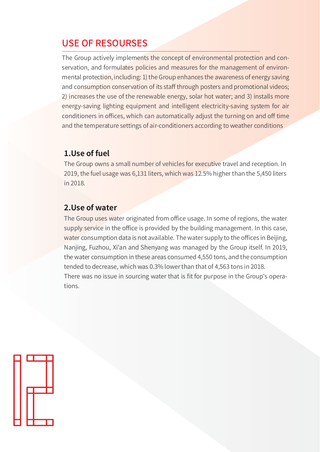#### **USE OF RESOURSES**

The Group actively implements the concept of environmental protection and conservation, and formulates policies and measures for the management of environmental protection, including: 1) the Group enhances the awareness of energy saving and consumption conservation of its staff through posters and promotional videos; 2) increases the use of the renewable energy, solar hot water; and 3) installs more energy-saving lighting equipment and intelligent electricity-saving system for air conditioners in offices, which can automatically adjust the turning on and off time and the temperature settings of air-conditioners according to weather conditions

#### 1. Use of fuel

The Group owns a small number of vehicles for executive travel and reception. In 2019, the fuel usage was 6,131 liters, which was 12.5% higher than the 5,450 liters in 2018.

#### 2. Use of water

The Group uses water originated from office usage. In some of regions, the water supply service in the office is provided by the building management. In this case, water consumption data is not available. The water supply to the offices in Beijing, Nanjing, Fuzhou, Xi'an and Shenyang was managed by the Group itself. In 2019, the water consumption in these areas consumed 4,550 tons, and the consumption tended to decrease, which was 0.3% lower than that of 4,563 tons in 2018. There was no issue in sourcing water that is fit for purpose in the Group's operations

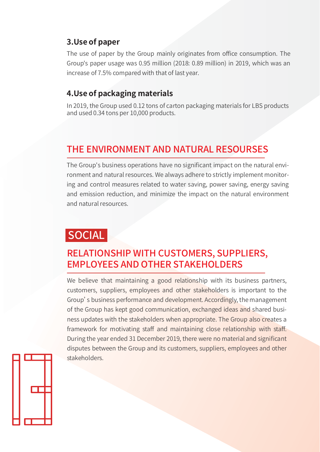#### 3. Use of paper

The use of paper by the Group mainly originates from office consumption. The Group's paper usage was 0.95 million (2018: 0.89 million) in 2019, which was an increase of 7.5% compared with that of last year.

#### 4. Use of packaging materials

In 2019, the Group used 0.12 tons of carton packaging materials for LBS products and used 0.34 tons per 10,000 products.

## THE ENVIRONMENT AND NATURAL RESOURSES

The Group's business operations have no significant impact on the natural environment and natural resources. We always adhere to strictly implement monitoring and control measures related to water saving, power saving, energy saving and emission reduction, and minimize the impact on the natural environment and natural resources

## **SOCIAL**

#### RELATIONSHIP WITH CUSTOMERS, SUPPLIERS, **EMPLOYEES AND OTHER STAKEHOLDERS**

We believe that maintaining a good relationship with its business partners, customers, suppliers, employees and other stakeholders is important to the Group's business performance and development. Accordingly, the management of the Group has kept good communication, exchanged ideas and shared business updates with the stakeholders when appropriate. The Group also creates a framework for motivating staff and maintaining close relationship with staff. During the year ended 31 December 2019, there were no material and significant disputes between the Group and its customers, suppliers, employees and other stakeholders.

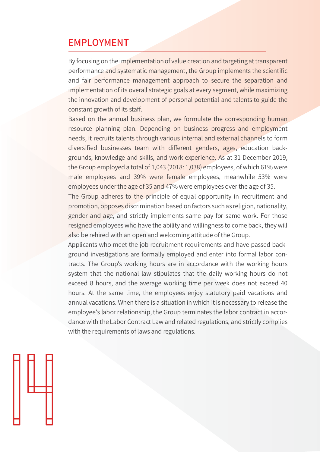#### **EMPLOYMENT**

By focusing on the implementation of value creation and targeting at transparent performance and systematic management, the Group implements the scientific and fair performance management approach to secure the separation and implementation of its overall strategic goals at every segment, while maximizing the innovation and development of personal potential and talents to guide the constant growth of its staff.

Based on the annual business plan, we formulate the corresponding human resource planning plan. Depending on business progress and employment needs, it recruits talents through various internal and external channels to form diversified businesses team with different genders, ages, education backgrounds, knowledge and skills, and work experience. As at 31 December 2019, the Group employed a total of 1,043 (2018: 1,038) employees, of which 61% were male employees and 39% were female employees, meanwhile 53% were employees under the age of 35 and 47% were employees over the age of 35.

The Group adheres to the principle of equal opportunity in recruitment and promotion, opposes discrimination based on factors such as religion, nationality, gender and age, and strictly implements same pay for same work. For those resigned employees who have the ability and willingness to come back, they will also be rehired with an open and welcoming attitude of the Group.

Applicants who meet the job recruitment requirements and have passed background investigations are formally employed and enter into formal labor contracts. The Group's working hours are in accordance with the working hours system that the national law stipulates that the daily working hours do not exceed 8 hours, and the average working time per week does not exceed 40 hours. At the same time, the employees enjoy statutory paid vacations and annual vacations. When there is a situation in which it is necessary to release the employee's labor relationship, the Group terminates the labor contract in accordance with the Labor Contract Law and related regulations, and strictly complies with the requirements of laws and regulations.

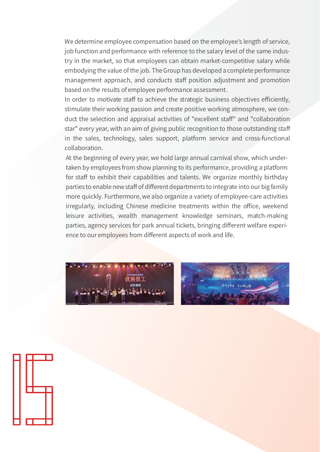We determine employee compensation based on the employee's length of service, job function and performance with reference to the salary level of the same industry in the market, so that employees can obtain market-competitive salary while embodying the value of the job. The Group has developed a complete performance management approach, and conducts staff position adjustment and promotion based on the results of employee performance assessment.

In order to motivate staff to achieve the strategic business objectives efficiently, stimulate their working passion and create positive working atmosphere, we conduct the selection and appraisal activities of "excellent staff" and "collaboration star" every year, with an aim of giving public recognition to those outstanding staff in the sales, technology, sales support, platform service and cross-functional collaboration.

At the beginning of every year, we hold large annual carnival show, which undertaken by employees from show planning to its performance, providing a platform for staff to exhibit their capabilities and talents. We organize monthly birthday parties to enable new staff of different departments to integrate into our big family more quickly. Furthermore, we also organize a variety of employee-care activities irregularly, including Chinese medicine treatments within the office, weekend leisure activities, wealth management knowledge seminars, match-making parties, agency services for park annual tickets, bringing different welfare experience to our employees from different aspects of work and life.





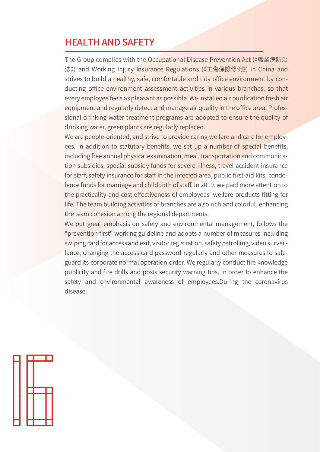#### **HEALTH AND SAFETY**

The Group complies with the Occupational Disease Prevention Act (《職業病防治 法》) and Working Injury Insurance Regulations (《工傷保險條例》) in China and strives to build a healthy, safe, comfortable and tidy office environment by conducting office environment assessment activities in various branches, so that every employee feels as pleasant as possible. We installed air purification fresh air equipment and regularly detect and manage air quality in the office area. Professional drinking water treatment programs are adopted to ensure the quality of drinking water, green plants are regularly replaced.

We are people-oriented, and strive to provide caring welfare and care for employees. In addition to statutory benefits, we set up a number of special benefits, including free annual physical examination, meal, transportation and communication subsidies, special subsidy funds for severe illness, travel accident insurance for staff, safety insurance for staff in the infected area, public first-aid kits, condolence funds for marriage and childbirth of staff. In 2019, we paid more attention to the practicality and cost-effectiveness of employees' welfare products fitting for life. The team building activities of branches are also rich and colorful, enhancing the team cohesion among the regional departments.

We put great emphasis on safety and environmental management, follows the "prevention first" working guideline and adopts a number of measures including swiping card for access and exit, visitor registration, safety patrolling, video surveillance, changing the access card password regularly and other measures to safeguard its corporate normal operation order. We regularly conduct fire knowledge publicity and fire drills and posts security warning tips, in order to enhance the safety and environmental awareness of employees. During the coronavirus disease.

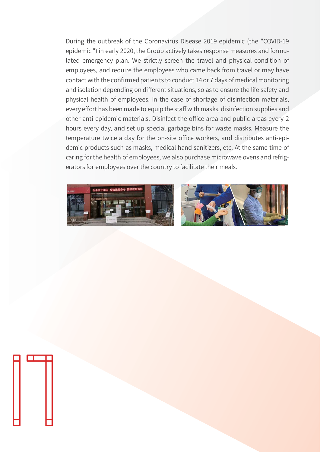During the outbreak of the Coronavirus Disease 2019 epidemic (the "COVID-19 epidemic ") in early 2020, the Group actively takes response measures and formulated emergency plan. We strictly screen the travel and physical condition of employees, and require the employees who came back from travel or may have contact with the confirmed patien ts to conduct 14 or 7 days of medical monitoring and isolation depending on different situations, so as to ensure the life safety and physical health of employees. In the case of shortage of disinfection materials, every effort has been made to equip the staff with masks, disinfection supplies and other anti-epidemic materials. Disinfect the office area and public areas every 2 hours every day, and set up special garbage bins for waste masks. Measure the temperature twice a day for the on-site office workers, and distributes anti-epidemic products such as masks, medical hand sanitizers, etc. At the same time of caring for the health of employees, we also purchase microwave ovens and refrigerators for employees over the country to facilitate their meals.



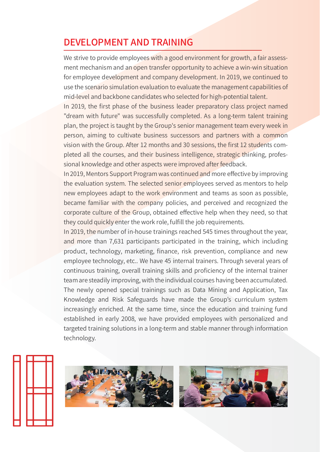## **DEVELOPMENT AND TRAINING**

We strive to provide employees with a good environment for growth, a fair assessment mechanism and an open transfer opportunity to achieve a win-win situation for employee development and company development. In 2019, we continued to use the scenario simulation evaluation to evaluate the management capabilities of mid-level and backbone candidates who selected for high-potential talent.

In 2019, the first phase of the business leader preparatory class project named "dream with future" was successfully completed. As a long-term talent training plan, the project is taught by the Group's senior management team every week in person, aiming to cultivate business successors and partners with a common vision with the Group. After 12 months and 30 sessions, the first 12 students completed all the courses, and their business intelligence, strategic thinking, professional knowledge and other aspects were improved after feedback.

In 2019, Mentors Support Program was continued and more effective by improving the evaluation system. The selected senior employees served as mentors to help new employees adapt to the work environment and teams as soon as possible, became familiar with the company policies, and perceived and recognized the corporate culture of the Group, obtained effective help when they need, so that they could quickly enter the work role, fulfill the job requirements.

In 2019, the number of in-house trainings reached 545 times throughout the year, and more than 7,631 participants participated in the training, which including product, technology, marketing, finance, risk prevention, compliance and new employee technology, etc.. We have 45 internal trainers. Through several years of continuous training, overall training skills and proficiency of the internal trainer team are steadily improving, with the individual courses having been accumulated. The newly opened special trainings such as Data Mining and Application, Tax Knowledge and Risk Safeguards have made the Group's curriculum system increasingly enriched. At the same time, since the education and training fund established in early 2008, we have provided employees with personalized and targeted training solutions in a long-term and stable manner through information technology.





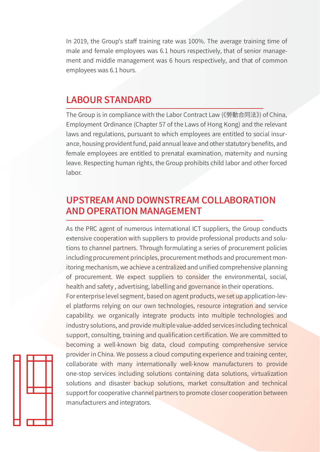In 2019, the Group's staff training rate was 100%. The average training time of male and female employees was 6.1 hours respectively, that of senior management and middle management was 6 hours respectively, and that of common employees was 6.1 hours.

#### **LABOUR STANDARD**

manufacturers and integrators.

The Group is in compliance with the Labor Contract Law (《勞動合同法》) of China, Employment Ordinance (Chapter 57 of the Laws of Hong Kong) and the relevant laws and regulations, pursuant to which employees are entitled to social insurance, housing provident fund, paid annual leave and other statutory benefits, and female employees are entitled to prenatal examination, maternity and nursing leave. Respecting human rights, the Group prohibits child labor and other forced labor.

## **UPSTREAM AND DOWNSTREAM COLLABORATION AND OPERATION MANAGEMENT**

As the PRC agent of numerous international ICT suppliers, the Group conducts extensive cooperation with suppliers to provide professional products and solutions to channel partners. Through formulating a series of procurement policies including procurement principles, procurement methods and procurement monitoring mechanism, we achieve a centralized and unified comprehensive planning of procurement. We expect suppliers to consider the environmental, social, health and safety, advertising, labelling and governance in their operations. For enterprise level segment, based on agent products, we set up application-level platforms relying on our own technologies, resource integration and service capability. we organically integrate products into multiple technologies and industry solutions, and provide multiple value-added services including technical support, consulting, training and qualification certification. We are committed to becoming a well-known big data, cloud computing comprehensive service provider in China. We possess a cloud computing experience and training center, collaborate with many internationally well-know manufacturers to provide one-stop services including solutions containing data solutions, virtualization solutions and disaster backup solutions, market consultation and technical support for cooperative channel partners to promote closer cooperation between

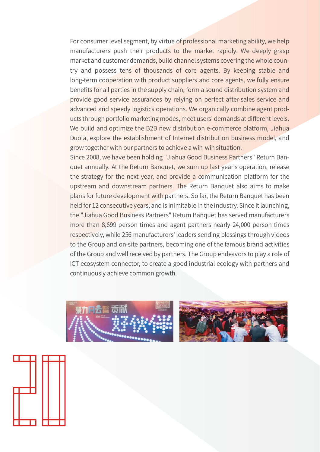For consumer level segment, by virtue of professional marketing ability, we help manufacturers push their products to the market rapidly. We deeply grasp market and customer demands, build channel systems covering the whole country and possess tens of thousands of core agents. By keeping stable and long-term cooperation with product suppliers and core agents, we fully ensure benefits for all parties in the supply chain, form a sound distribution system and provide good service assurances by relying on perfect after-sales service and advanced and speedy logistics operations. We organically combine agent products through portfolio marketing modes, meet users' demands at different levels. We build and optimize the B2B new distribution e-commerce platform, Jiahua Duola, explore the establishment of Internet distribution business model, and grow together with our partners to achieve a win-win situation.

Since 2008, we have been holding "Jiahua Good Business Partners" Return Banquet annually. At the Return Banquet, we sum up last year's operation, release the strategy for the next year, and provide a communication platform for the upstream and downstream partners. The Return Banquet also aims to make plans for future development with partners. So far, the Return Banquet has been held for 12 consecutive years, and is inimitable In the industry. Since it launching, the "Jiahua Good Business Partners" Return Banquet has served manufacturers more than 8,699 person times and agent partners nearly 24,000 person times respectively, while 256 manufacturers' leaders sending blessings through videos to the Group and on-site partners, becoming one of the famous brand activities of the Group and well received by partners. The Group endeavors to play a role of ICT ecosystem connector, to create a good industrial ecology with partners and continuously achieve common growth.





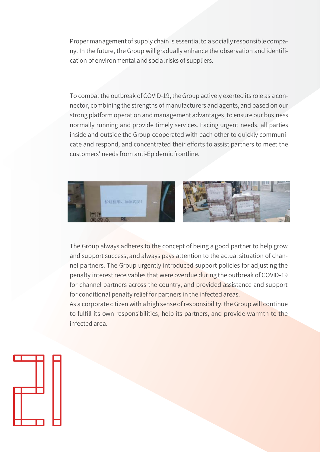Proper management of supply chain is essential to a socially responsible company. In the future, the Group will gradually enhance the observation and identification of environmental and social risks of suppliers.

To combat the outbreak of COVID-19, the Group actively exerted its role as a connector, combining the strengths of manufacturers and agents, and based on our strong platform operation and management advantages, to ensure our business normally running and provide timely services. Facing urgent needs, all parties inside and outside the Group cooperated with each other to quickly communicate and respond, and concentrated their efforts to assist partners to meet the customers' needs from anti-Epidemic frontline.



The Group always adheres to the concept of being a good partner to help grow and support success, and always pays attention to the actual situation of channel partners. The Group urgently introduced support policies for adjusting the penalty interest receivables that were overdue during the outbreak of COVID-19 for channel partners across the country, and provided assistance and support for conditional penalty relief for partners in the infected areas.

As a corporate citizen with a high sense of responsibility, the Group will continue to fulfill its own responsibilities, help its partners, and provide warmth to the infected area

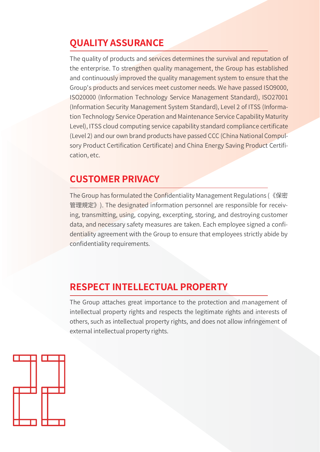## **OUALITY ASSURANCE**

The quality of products and services determines the survival and reputation of the enterprise. To strengthen quality management, the Group has established and continuously improved the quality management system to ensure that the Group's products and services meet customer needs. We have passed ISO9000, ISO20000 (Information Technology Service Management Standard), ISO27001 (Information Security Management System Standard), Level 2 of ITSS (Information Technology Service Operation and Maintenance Service Capability Maturity Level), ITSS cloud computing service capability standard compliance certificate (Level 2) and our own brand products have passed CCC (China National Compulsory Product Certification Certificate) and China Energy Saving Product Certification, etc.

## **CUSTOMER PRIVACY**

The Group has formulated the Confidentiality Management Regulations (《保密 管理規定》). The designated information personnel are responsible for receiving, transmitting, using, copying, excerpting, storing, and destroying customer data, and necessary safety measures are taken. Each employee signed a confidentiality agreement with the Group to ensure that employees strictly abide by confidentiality requirements.

## **RESPECT INTELLECTUAL PROPERTY**

The Group attaches great importance to the protection and management of intellectual property rights and respects the legitimate rights and interests of others, such as intellectual property rights, and does not allow infringement of external intellectual property rights.

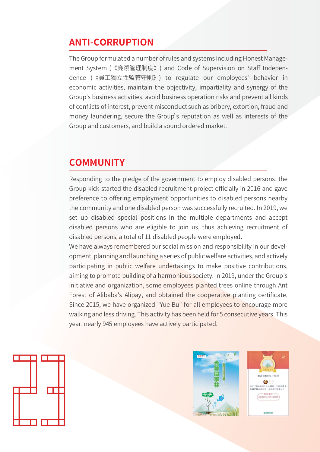## **ANTI-CORRUPTION**

The Group formulated a number of rules and systems including Honest Management System (《廉潔管理制度》) and Code of Supervision on Staff Independence (《員工獨立性監管守則》) to regulate our employees' behavior in economic activities, maintain the objectivity, impartiality and synergy of the Group's business activities, avoid business operation risks and prevent all kinds of conflicts of interest, prevent misconduct such as bribery, extortion, fraud and money laundering, secure the Group's reputation as well as interests of the Group and customers, and build a sound ordered market.

## **COMMUNITY**

Responding to the pledge of the government to employ disabled persons, the Group kick-started the disabled recruitment project officially in 2016 and gave preference to offering employment opportunities to disabled persons nearby the community and one disabled person was successfully recruited. In 2019, we set up disabled special positions in the multiple departments and accept disabled persons who are eligible to join us, thus achieving recruitment of disabled persons, a total of 11 disabled people were employed.

We have always remembered our social mission and responsibility in our development, planning and launching a series of public welfare activities, and actively participating in public welfare undertakings to make positive contributions, aiming to promote building of a harmonious society. In 2019, under the Group's initiative and organization, some employees planted trees online through Ant Forest of Alibaba's Alipay, and obtained the cooperative planting certificate. Since 2015, we have organized "Yue Bu" for all employees to encourage more walking and less driving. This activity has been held for 5 consecutive years. This year, nearly 945 employees have actively participated.